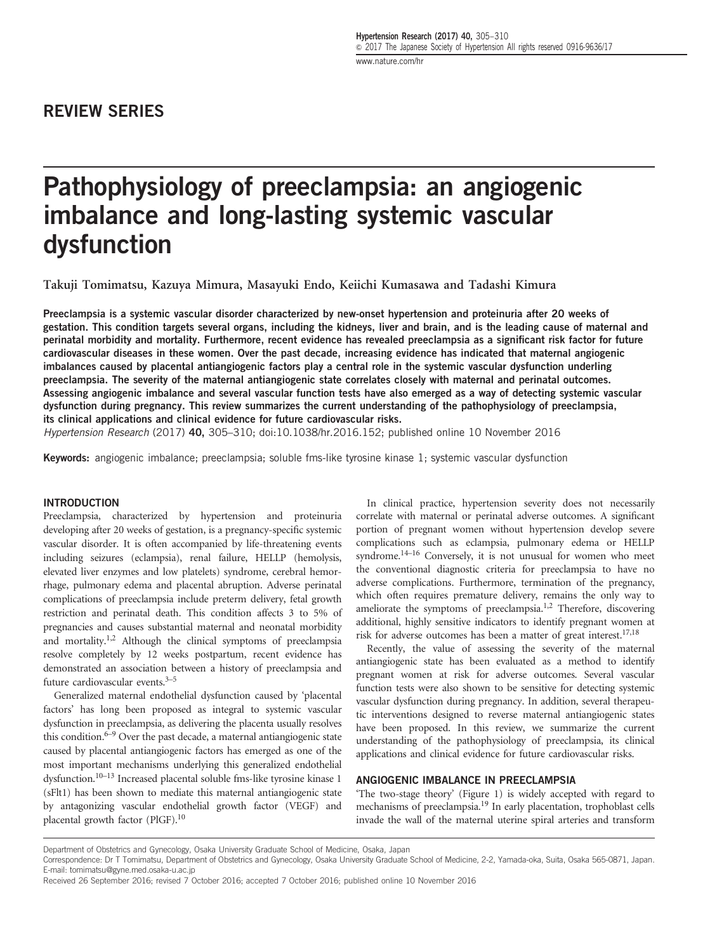# REVIEW SERIES

# Pathophysiology of preeclampsia: an angiogenic imbalance and long-lasting systemic vascular dysfunction

Takuji Tomimatsu, Kazuya Mimura, Masayuki Endo, Keiichi Kumasawa and Tadashi Kimura

Preeclampsia is a systemic vascular disorder characterized by new-onset hypertension and proteinuria after 20 weeks of gestation. This condition targets several organs, including the kidneys, liver and brain, and is the leading cause of maternal and perinatal morbidity and mortality. Furthermore, recent evidence has revealed preeclampsia as a significant risk factor for future cardiovascular diseases in these women. Over the past decade, increasing evidence has indicated that maternal angiogenic imbalances caused by placental antiangiogenic factors play a central role in the systemic vascular dysfunction underling preeclampsia. The severity of the maternal antiangiogenic state correlates closely with maternal and perinatal outcomes. Assessing angiogenic imbalance and several vascular function tests have also emerged as a way of detecting systemic vascular dysfunction during pregnancy. This review summarizes the current understanding of the pathophysiology of preeclampsia, its clinical applications and clinical evidence for future cardiovascular risks.

Hypertension Research (2017) 40, 305–310; doi:[10.1038/hr.2016.152;](http://dx.doi.org/10.1038/hr.2016.152) published online 10 November 2016

Keywords: angiogenic imbalance; preeclampsia; soluble fms-like tyrosine kinase 1; systemic vascular dysfunction

#### INTRODUCTION

Preeclampsia, characterized by hypertension and proteinuria developing after 20 weeks of gestation, is a pregnancy-specific systemic vascular disorder. It is often accompanied by life-threatening events including seizures (eclampsia), renal failure, HELLP (hemolysis, elevated liver enzymes and low platelets) syndrome, cerebral hemorrhage, pulmonary edema and placental abruption. Adverse perinatal complications of preeclampsia include preterm delivery, fetal growth restriction and perinatal death. This condition affects 3 to 5% of pregnancies and causes substantial maternal and neonatal morbidity and mortality[.1,2](#page-3-0) Although the clinical symptoms of preeclampsia resolve completely by 12 weeks postpartum, recent evidence has demonstrated an association between a history of preeclampsia and future cardiovascular events. $3-5$ 

Generalized maternal endothelial dysfunction caused by 'placental factors' has long been proposed as integral to systemic vascular dysfunction in preeclampsia, as delivering the placenta usually resolves this condition. $6-9$  Over the past decade, a maternal antiangiogenic state caused by placental antiangiogenic factors has emerged as one of the most important mechanisms underlying this generalized endothelial dysfunction[.10](#page-3-0)–<sup>13</sup> Increased placental soluble fms-like tyrosine kinase 1 (sFlt1) has been shown to mediate this maternal antiangiogenic state by antagonizing vascular endothelial growth factor (VEGF) and placental growth factor (PlGF).<sup>10</sup>

In clinical practice, hypertension severity does not necessarily correlate with maternal or perinatal adverse outcomes. A significant portion of pregnant women without hypertension develop severe complications such as eclampsia, pulmonary edema or HELLP syndrome.<sup>14–[16](#page-3-0)</sup> Conversely, it is not unusual for women who meet the conventional diagnostic criteria for preeclampsia to have no adverse complications. Furthermore, termination of the pregnancy, which often requires premature delivery, remains the only way to ameliorate the symptoms of preeclampsia.<sup>1,2</sup> Therefore, discovering additional, highly sensitive indicators to identify pregnant women at risk for adverse outcomes has been a matter of great interest.<sup>17,[18](#page-3-0)</sup>

Recently, the value of assessing the severity of the maternal antiangiogenic state has been evaluated as a method to identify pregnant women at risk for adverse outcomes. Several vascular function tests were also shown to be sensitive for detecting systemic vascular dysfunction during pregnancy. In addition, several therapeutic interventions designed to reverse maternal antiangiogenic states have been proposed. In this review, we summarize the current understanding of the pathophysiology of preeclampsia, its clinical applications and clinical evidence for future cardiovascular risks.

## ANGIOGENIC IMBALANCE IN PREECLAMPSIA

'The two-stage theory' [\(Figure 1\)](#page-1-0) is widely accepted with regard to mechanisms of preeclampsia.[19](#page-3-0) In early placentation, trophoblast cells invade the wall of the maternal uterine spiral arteries and transform

Department of Obstetrics and Gynecology, Osaka University Graduate School of Medicine, Osaka, Japan

Correspondence: Dr T Tomimatsu, Department of Obstetrics and Gynecology, Osaka University Graduate School of Medicine, 2-2, Yamada-oka, Suita, Osaka 565-0871, Japan. E-mail: [tomimatsu@gyne.med.osaka-u.ac.jp](mailto:tomimatsu@gyne.med.osaka-u.ac.jp)

Received 26 September 2016; revised 7 October 2016; accepted 7 October 2016; published online 10 November 2016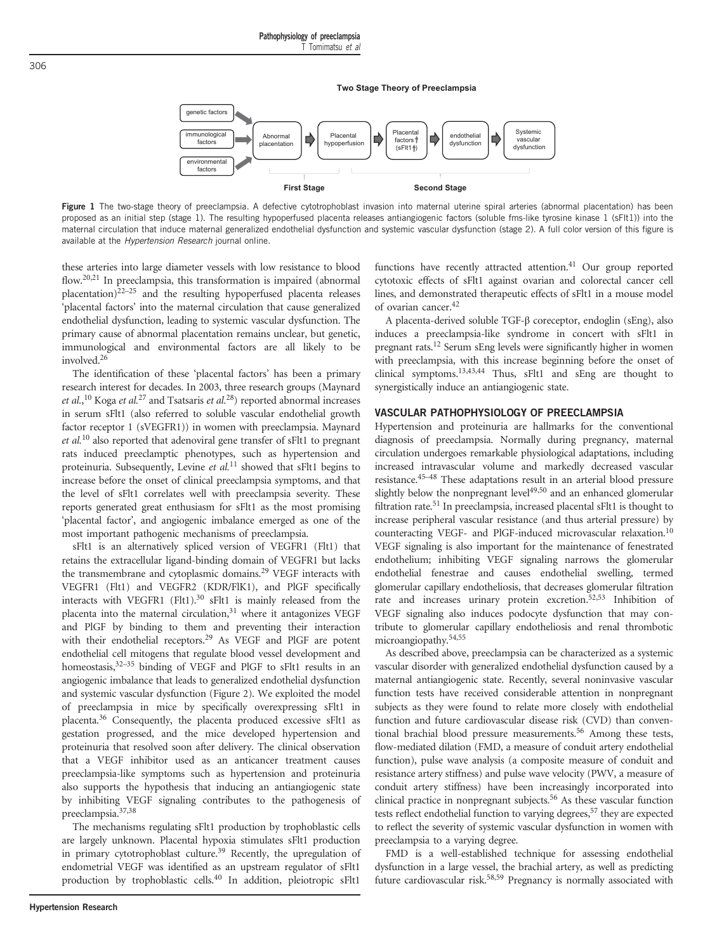**Two Stage Theory of Preeclampsia**

<span id="page-1-0"></span>

Figure 1 The two-stage theory of preeclampsia. A defective cytotrophoblast invasion into maternal uterine spiral arteries (abnormal placentation) has been proposed as an initial step (stage 1). The resulting hypoperfused placenta releases antiangiogenic factors (soluble fms-like tyrosine kinase 1 (sFlt1)) into the maternal circulation that induce maternal generalized endothelial dysfunction and systemic vascular dysfunction (stage 2). A full color version of this figure is available at the *Hypertension Research* journal online.

these arteries into large diameter vessels with low resistance to blood flow.<sup>[20,21](#page-3-0)</sup> In preeclampsia, this transformation is impaired (abnormal placentation) $22-25$  $22-25$  and the resulting hypoperfused placenta releases 'placental factors' into the maternal circulation that cause generalized endothelial dysfunction, leading to systemic vascular dysfunction. The primary cause of abnormal placentation remains unclear, but genetic, immunological and environmental factors are all likely to be involved[.26](#page-3-0)

The identification of these 'placental factors' has been a primary research interest for decades. In 2003, three research groups (Maynard et al.,<sup>[10](#page-3-0)</sup> Koga et al.<sup>[27](#page-3-0)</sup> and Tsatsaris et al.<sup>[28](#page-3-0)</sup>) reported abnormal increases in serum sFlt1 (also referred to soluble vascular endothelial growth factor receptor 1 (sVEGFR1)) in women with preeclampsia. Maynard et al.<sup>[10](#page-3-0)</sup> also reported that adenoviral gene transfer of sFlt1 to pregnant rats induced preeclamptic phenotypes, such as hypertension and proteinuria. Subsequently, Levine et  $al$ <sup>[11](#page-3-0)</sup> showed that sFlt1 begins to increase before the onset of clinical preeclampsia symptoms, and that the level of sFlt1 correlates well with preeclampsia severity. These reports generated great enthusiasm for sFlt1 as the most promising 'placental factor', and angiogenic imbalance emerged as one of the most important pathogenic mechanisms of preeclampsia.

sFlt1 is an alternatively spliced version of VEGFR1 (Flt1) that retains the extracellular ligand-binding domain of VEGFR1 but lacks the transmembrane and cytoplasmic domains.<sup>29</sup> VEGF interacts with VEGFR1 (Flt1) and VEGFR2 (KDR/FlK1), and PlGF specifically interacts with VEGFR1 (Flt1). $30$  sFlt1 is mainly released from the placenta into the maternal circulation,<sup>31</sup> where it antagonizes VEGF and PlGF by binding to them and preventing their interaction with their endothelial receptors.<sup>29</sup> As VEGF and PlGF are potent endothelial cell mitogens that regulate blood vessel development and homeostasis,<sup>[32](#page-4-0)-35</sup> binding of VEGF and PlGF to sFlt1 results in an angiogenic imbalance that leads to generalized endothelial dysfunction and systemic vascular dysfunction [\(Figure 2](#page-2-0)). We exploited the model of preeclampsia in mice by specifically overexpressing sFlt1 in placenta[.36](#page-4-0) Consequently, the placenta produced excessive sFlt1 as gestation progressed, and the mice developed hypertension and proteinuria that resolved soon after delivery. The clinical observation that a VEGF inhibitor used as an anticancer treatment causes preeclampsia-like symptoms such as hypertension and proteinuria also supports the hypothesis that inducing an antiangiogenic state by inhibiting VEGF signaling contributes to the pathogenesis of preeclampsia[.37](#page-4-0),[38](#page-4-0)

The mechanisms regulating sFlt1 production by trophoblastic cells are largely unknown. Placental hypoxia stimulates sFlt1 production in primary cytotrophoblast culture.<sup>39</sup> Recently, the upregulation of endometrial VEGF was identified as an upstream regulator of sFlt1 production by trophoblastic cells.[40](#page-4-0) In addition, pleiotropic sFlt1

functions have recently attracted attention.<sup>41</sup> Our group reported cytotoxic effects of sFlt1 against ovarian and colorectal cancer cell lines, and demonstrated therapeutic effects of sFlt1 in a mouse model of ovarian cancer[.42](#page-4-0)

A placenta-derived soluble TGF-β coreceptor, endoglin (sEng), also induces a preeclampsia-like syndrome in concert with sFlt1 in pregnant rats.[12](#page-3-0) Serum sEng levels were significantly higher in women with preeclampsia, with this increase beginning before the onset of clinical symptoms.[13](#page-3-0),[43,44](#page-4-0) Thus, sFlt1 and sEng are thought to synergistically induce an antiangiogenic state.

### VASCULAR PATHOPHYSIOLOGY OF PREECLAMPSIA

Hypertension and proteinuria are hallmarks for the conventional diagnosis of preeclampsia. Normally during pregnancy, maternal circulation undergoes remarkable physiological adaptations, including increased intravascular volume and markedly decreased vascular resistance[.45](#page-4-0)–<sup>48</sup> These adaptations result in an arterial blood pressure slightly below the nonpregnant level $49,50$  and an enhanced glomerular filtration rate.<sup>51</sup> In preeclampsia, increased placental sFlt1 is thought to increase peripheral vascular resistance (and thus arterial pressure) by counteracting VEGF- and PlGF-induced microvascular relaxation[.10](#page-3-0) VEGF signaling is also important for the maintenance of fenestrated endothelium; inhibiting VEGF signaling narrows the glomerular endothelial fenestrae and causes endothelial swelling, termed glomerular capillary endotheliosis, that decreases glomerular filtration rate and increases urinary protein excretion.[52](#page-4-0),[53](#page-4-0) Inhibition of VEGF signaling also induces podocyte dysfunction that may contribute to glomerular capillary endotheliosis and renal thrombotic microangiopathy.[54](#page-4-0),[55](#page-4-0)

As described above, preeclampsia can be characterized as a systemic vascular disorder with generalized endothelial dysfunction caused by a maternal antiangiogenic state. Recently, several noninvasive vascular function tests have received considerable attention in nonpregnant subjects as they were found to relate more closely with endothelial function and future cardiovascular disease risk (CVD) than conventional brachial blood pressure measurements.[56](#page-4-0) Among these tests, flow-mediated dilation (FMD, a measure of conduit artery endothelial function), pulse wave analysis (a composite measure of conduit and resistance artery stiffness) and pulse wave velocity (PWV, a measure of conduit artery stiffness) have been increasingly incorporated into clinical practice in nonpregnant subjects.<sup>[56](#page-4-0)</sup> As these vascular function tests reflect endothelial function to varying degrees,<sup>57</sup> they are expected to reflect the severity of systemic vascular dysfunction in women with preeclampsia to a varying degree.

FMD is a well-established technique for assessing endothelial dysfunction in a large vessel, the brachial artery, as well as predicting future cardiovascular risk[.58,59](#page-4-0) Pregnancy is normally associated with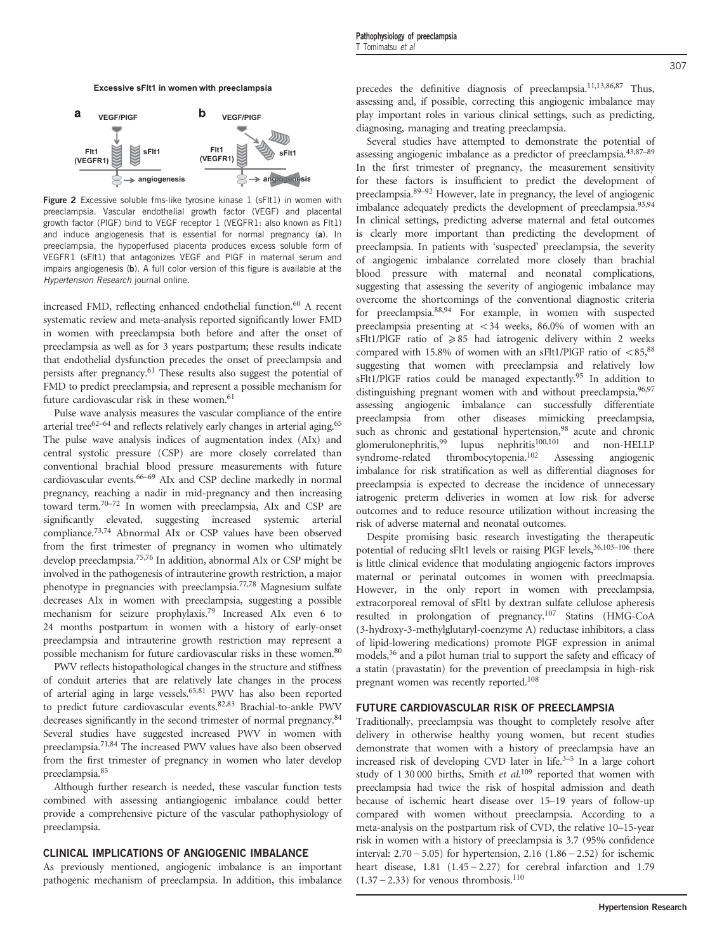<span id="page-2-0"></span>

**Figure 2** Excessive soluble fms-like tyrosine kinase 1 (sFIt1) in women with preeclampsia. Vascular endothelial growth factor (VEGF) and placental growth factor (PlGF) bind to VEGF receptor 1 (VEGFR1: also known as Flt1) and induce angiogenesis that is essential for normal pregnancy (a). In preeclampsia, the hypoperfused placenta produces excess soluble form of VEGFR1 (sFlt1) that antagonizes VEGF and PlGF in maternal serum and impairs angiogenesis (b). A full color version of this figure is available at the Hypertension Research journal online.

increased FMD, reflecting enhanced endothelial function.<sup>60</sup> A recent systematic review and meta-analysis reported significantly lower FMD in women with preeclampsia both before and after the onset of preeclampsia as well as for 3 years postpartum; these results indicate that endothelial dysfunction precedes the onset of preeclampsia and persists after pregnancy[.61](#page-4-0) These results also suggest the potential of FMD to predict preeclampsia, and represent a possible mechanism for future cardiovascular risk in these women.<sup>[61](#page-4-0)</sup>

Pulse wave analysis measures the vascular compliance of the entire arterial tree $62-64$  and reflects relatively early changes in arterial aging.<sup>[65](#page-4-0)</sup> The pulse wave analysis indices of augmentation index (AIx) and central systolic pressure (CSP) are more closely correlated than conventional brachial blood pressure measurements with future cardiovascular events[.66](#page-4-0)–<sup>69</sup> AIx and CSP decline markedly in normal pregnancy, reaching a nadir in mid-pregnancy and then increasing toward term.[70](#page-4-0)–<sup>72</sup> In women with preeclampsia, AIx and CSP are significantly elevated, suggesting increased systemic arterial compliance[.73,74](#page-4-0) Abnormal AIx or CSP values have been observed from the first trimester of pregnancy in women who ultimately develop preeclampsia[.75](#page-4-0),[76](#page-4-0) In addition, abnormal AIx or CSP might be involved in the pathogenesis of intrauterine growth restriction, a major phenotype in pregnancies with preeclampsia.[77](#page-4-0),[78](#page-4-0) Magnesium sulfate decreases AIx in women with preeclampsia, suggesting a possible mechanism for seizure prophylaxis[.79](#page-4-0) Increased AIx even 6 to 24 months postpartum in women with a history of early-onset preeclampsia and intrauterine growth restriction may represent a possible mechanism for future cardiovascular risks in these women.<sup>[80](#page-4-0)</sup>

PWV reflects histopathological changes in the structure and stiffness of conduit arteries that are relatively late changes in the process of arterial aging in large vessels.[65](#page-4-0),[81](#page-4-0) PWV has also been reported to predict future cardiovascular events.[82](#page-4-0),[83](#page-5-0) Brachial-to-ankle PWV decreases significantly in the second trimester of normal pregnancy.<sup>[84](#page-5-0)</sup> Several studies have suggested increased PWV in women with preeclampsia[.71](#page-4-0)[,84](#page-5-0) The increased PWV values have also been observed from the first trimester of pregnancy in women who later develop preeclampsia[.85](#page-5-0)

Although further research is needed, these vascular function tests combined with assessing antiangiogenic imbalance could better provide a comprehensive picture of the vascular pathophysiology of preeclampsia.

#### CLINICAL IMPLICATIONS OF ANGIOGENIC IMBALANCE

As previously mentioned, angiogenic imbalance is an important pathogenic mechanism of preeclampsia. In addition, this imbalance precedes the definitive diagnosis of preeclampsia.[11](#page-3-0),[13](#page-3-0)[,86,87](#page-5-0) Thus, assessing and, if possible, correcting this angiogenic imbalance may play important roles in various clinical settings, such as predicting, diagnosing, managing and treating preeclampsia.

Several studies have attempted to demonstrate the potential of assessing angiogenic imbalance as a predictor of preeclampsia[.43](#page-4-0)[,87](#page-5-0)–<sup>89</sup> In the first trimester of pregnancy, the measurement sensitivity for these factors is insufficient to predict the development of preeclampsia[.89](#page-5-0)–<sup>92</sup> However, late in pregnancy, the level of angiogenic imbalance adequately predicts the development of preeclampsia.<sup>[93](#page-5-0),[94](#page-5-0)</sup> In clinical settings, predicting adverse maternal and fetal outcomes is clearly more important than predicting the development of preeclampsia. In patients with 'suspected' preeclampsia, the severity of angiogenic imbalance correlated more closely than brachial blood pressure with maternal and neonatal complications, suggesting that assessing the severity of angiogenic imbalance may overcome the shortcomings of the conventional diagnostic criteria for preeclampsia.[88](#page-5-0),[94](#page-5-0) For example, in women with suspected preeclampsia presenting at  $<$  34 weeks, 86.0% of women with an sFlt1/PlGF ratio of  $\geq 85$  had iatrogenic delivery within 2 weeks compared with 15.8% of women with an sFlt1/PlGF ratio of  $\langle 85, 88 \rangle$  $\langle 85, 88 \rangle$  $\langle 85, 88 \rangle$ suggesting that women with preeclampsia and relatively low sFlt1/PlGF ratios could be managed expectantly.<sup>95</sup> In addition to distinguishing pregnant women with and without preeclampsia, [96](#page-5-0),[97](#page-5-0) assessing angiogenic imbalance can successfully differentiate preeclampsia from other diseases mimicking preeclampsia, such as chronic and gestational hypertension,<sup>98</sup> acute and chronic glomerulonephritis,<sup>99</sup> lupus nephritis<sup>100,101</sup> and non-HELLP syndrome-related thrombocytopenia.[102](#page-5-0) Assessing angiogenic imbalance for risk stratification as well as differential diagnoses for preeclampsia is expected to decrease the incidence of unnecessary iatrogenic preterm deliveries in women at low risk for adverse outcomes and to reduce resource utilization without increasing the risk of adverse maternal and neonatal outcomes.

Despite promising basic research investigating the therapeutic potential of reducing sFlt1 levels or raising PlGF levels, 36,[103](#page-5-0)-106 there is little clinical evidence that modulating angiogenic factors improves maternal or perinatal outcomes in women with preeclmapsia. However, in the only report in women with preeclampsia, extracorporeal removal of sFlt1 by dextran sulfate cellulose apheresis resulted in prolongation of pregnancy[.107](#page-5-0) Statins (HMG-CoA (3-hydroxy-3-methylglutaryl-coenzyme A) reductase inhibitors, a class of lipid-lowering medications) promote PlGF expression in animal models,<sup>36</sup> and a pilot human trial to support the safety and efficacy of a statin (pravastatin) for the prevention of preeclampsia in high-risk pregnant women was recently reported[.108](#page-5-0)

#### FUTURE CARDIOVASCULAR RISK OF PREECLAMPSIA

Traditionally, preeclampsia was thought to completely resolve after delivery in otherwise healthy young women, but recent studies demonstrate that women with a history of preeclampsia have an increased risk of developing CVD later in life[.3](#page-3-0)–<sup>5</sup> In a large cohort study of  $1\,30\,000$  births, Smith et al.<sup>[109](#page-5-0)</sup> reported that women with preeclampsia had twice the risk of hospital admission and death because of ischemic heart disease over 15–19 years of follow-up compared with women without preeclampsia. According to a meta-analysis on the postpartum risk of CVD, the relative 10–15-year risk in women with a history of preeclampsia is 3.7 (95% confidence preeclampsia had twice the risk of hospital admission and death<br>because of ischemic heart disease over 15–19 years of follow-up<br>compared with women without preeclampsia. According to a<br>meta-analysis on the postpartum risk interval:  $2.70 - 5.05$ ) for hypertension,  $2.16$  ( $1.86 - 2.52$ ) for ischemic heart disease,  $1.81$  ( $1.45 - 2.27$ ) for cerebral infarction and  $1.79$  $(1.37 - 2.33)$  for venous thrombosis.<sup>110</sup>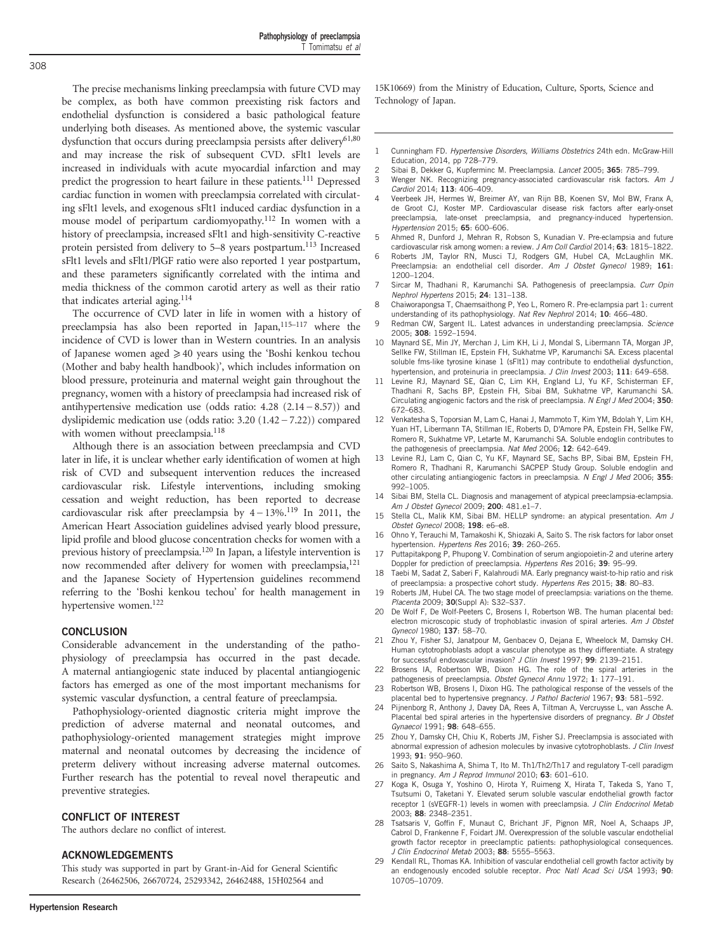Pathophysiology of preeclampsia T Tomimatsu et al

<span id="page-3-0"></span>The precise mechanisms linking preeclampsia with future CVD may be complex, as both have common preexisting risk factors and endothelial dysfunction is considered a basic pathological feature underlying both diseases. As mentioned above, the systemic vascular dysfunction that occurs during preeclampsia persists after delivery<sup>61,80</sup> and may increase the risk of subsequent CVD. sFlt1 levels are increased in individuals with acute myocardial infarction and may predict the progression to heart failure in these patients.<sup>111</sup> Depressed cardiac function in women with preeclampsia correlated with circulating sFlt1 levels, and exogenous sFlt1 induced cardiac dysfunction in a mouse model of peripartum cardiomyopathy.[112](#page-5-0) In women with a history of preeclampsia, increased sFlt1 and high-sensitivity C-reactive protein persisted from delivery to 5–8 years postpartum.<sup>[113](#page-5-0)</sup> Increased sFlt1 levels and sFlt1/PlGF ratio were also reported 1 year postpartum, and these parameters significantly correlated with the intima and media thickness of the common carotid artery as well as their ratio that indicates arterial aging. $114$ 

The occurrence of CVD later in life in women with a history of preeclampsia has also been reported in Japan,<sup>115–117</sup> where the incidence of CVD is lower than in Western countries. In an analysis of Japanese women aged ≥40 years using the 'Boshi kenkou techou (Mother and baby health handbook)', which includes information on blood pressure, proteinuria and maternal weight gain throughout the pregnancy, women with a history of preeclampsia had increased risk of incidence of CVD is lower than in Western countries. In an analysis of Japanese women aged  $\geq 40$  years using the 'Boshi kenkou techou (Mother and baby health handbook)', which includes information on blood pressure, pr antihypertensive medication use (odds ratio:  $4.28$  ( $2.14 - 8.57$ )) and dyslipidemic medication use (odds ratio:  $3.20$  ( $1.42 - 7.22$ )) compared with women without preeclampsia.<sup>118</sup>

Although there is an association between preeclampsia and CVD later in life, it is unclear whether early identification of women at high risk of CVD and subsequent intervention reduces the increased cardiovascular risk. Lifestyle interventions, including smoking cessation and weight reduction, has been reported to decrease Although there is an association between preeclampsia and CVD later in life, it is unclear whether early identification of women at high risk of CVD and subsequent intervention reduces the increased cardiovascular risk. L American Heart Association guidelines advised yearly blood pressure, lipid profile and blood glucose concentration checks for women with a previous history of preeclampsia[.120](#page-5-0) In Japan, a lifestyle intervention is now recommended after delivery for women with preeclampsia,<sup>[121](#page-5-0)</sup> and the Japanese Society of Hypertension guidelines recommend referring to the 'Boshi kenkou techou' for health management in hypertensive women.<sup>[122](#page-5-0)</sup>

#### **CONCLUSION**

Considerable advancement in the understanding of the pathophysiology of preeclampsia has occurred in the past decade. A maternal antiangiogenic state induced by placental antiangiogenic factors has emerged as one of the most important mechanisms for systemic vascular dysfunction, a central feature of preeclampsia.

Pathophysiology-oriented diagnostic criteria might improve the prediction of adverse maternal and neonatal outcomes, and pathophysiology-oriented management strategies might improve maternal and neonatal outcomes by decreasing the incidence of preterm delivery without increasing adverse maternal outcomes. Further research has the potential to reveal novel therapeutic and preventive strategies.

#### CONFLICT OF INTEREST

The authors declare no conflict of interest.

#### ACKNOWLEDGEMENTS

This study was supported in part by Grant-in-Aid for General Scientific Research (26462506, 26670724, 25293342, 26462488, 15H02564 and

15K10669) from the Ministry of Education, Culture, Sports, Science and Technology of Japan.

- 1 Cunningham FD. Hypertensive Disorders, Williams Obstetrics 24th edn. McGraw-Hill Education, 2014, pp 728–779.
- 2 Sibai B, Dekker G, Kupferminc M. Preeclampsia. Lancet 2005; 365: 785–799.
- 3 Wenger NK. Recognizing pregnancy-associated cardiovascular risk factors. Am J Cardiol 2014; 113: 406–409.
- Veerbeek JH, Hermes W, Breimer AY, van Rijn BB, Koenen SV, Mol BW, Franx A, de Groot CJ, Koster MP. Cardiovascular disease risk factors after early-onset preeclampsia, late-onset preeclampsia, and pregnancy-induced hypertension. Hypertension 2015; 65: 600–606.
- 5 Ahmed R, Dunford J, Mehran R, Robson S, Kunadian V. Pre-eclampsia and future cardiovascular risk among women: a review. J Am Coll Cardiol 2014; 63: 1815-1822.
- 6 Roberts JM, Taylor RN, Musci TJ, Rodgers GM, Hubel CA, McLaughlin MK. Preeclampsia: an endothelial cell disorder. Am J Obstet Gynecol 1989; 161: 1200–1204.
- Sircar M, Thadhani R, Karumanchi SA. Pathogenesis of preeclampsia. Curr Opin Nephrol Hypertens 2015; 24: 131–138.
- 8 Chaiworapongsa T, Chaemsaithong P, Yeo L, Romero R. Pre-eclampsia part 1: current understanding of its pathophysiology. Nat Rev Nephrol 2014; 10: 466–480.
- 9 Redman CW, Sargent IL. Latest advances in understanding preeclampsia. Science 2005; 308: 1592–1594.
- 10 Maynard SE, Min JY, Merchan J, Lim KH, Li J, Mondal S, Libermann TA, Morgan JP, Sellke FW, Stillman IE, Epstein FH, Sukhatme VP, Karumanchi SA. Excess placental soluble fms-like tyrosine kinase 1 (sFlt1) may contribute to endothelial dysfunction, hypertension, and proteinuria in preeclampsia. J Clin Invest 2003; 111: 649–658.
- 11 Levine RJ, Maynard SE, Qian C, Lim KH, England LJ, Yu KF, Schisterman EF, Thadhani R, Sachs BP, Epstein FH, Sibai BM, Sukhatme VP, Karumanchi SA. Circulating angiogenic factors and the risk of preeclampsia. N Engl J Med 2004; 350: 672–683.
- 12 Venkatesha S, Toporsian M, Lam C, Hanai J, Mammoto T, Kim YM, Bdolah Y, Lim KH, Yuan HT, Libermann TA, Stillman IE, Roberts D, D'Amore PA, Epstein FH, Sellke FW, Romero R, Sukhatme VP, Letarte M, Karumanchi SA. Soluble endoglin contributes to the pathogenesis of preeclampsia. Nat Med 2006; 12: 642–649.
- 13 Levine RJ, Lam C, Qian C, Yu KF, Maynard SE, Sachs BP, Sibai BM, Epstein FH, Romero R, Thadhani R, Karumanchi SACPEP Study Group. Soluble endoglin and other circulating antiangiogenic factors in preeclampsia. N Engl J Med 2006; 355: 992–1005.
- 14 Sibai BM, Stella CL. Diagnosis and management of atypical preeclampsia-eclampsia. Am J Obstet Gynecol 2009; 200: 481.e1–7.
- 15 Stella CL, Malik KM, Sibai BM. HELLP syndrome: an atypical presentation. Am J Obstet Gynecol 2008; 198: e6–e8.
- 16 Ohno Y, Terauchi M, Tamakoshi K, Shiozaki A, Saito S. The risk factors for labor onset hypertension. Hypertens Res 2016; 39: 260-265.
- 17 Puttapitakpong P, Phupong V. Combination of serum angiopoietin-2 and uterine artery Doppler for prediction of preeclampsia. Hypertens Res 2016; 39: 95–99.
- 18 Taebi M, Sadat Z, Saberi F, Kalahroudi MA. Early pregnancy waist-to-hip ratio and risk of preeclampsia: a prospective cohort study. Hypertens Res 2015; 38: 80–83.
- 19 Roberts JM, Hubel CA. The two stage model of preeclampsia: variations on the theme. Placenta 2009; 30(Suppl A): S32–S37.
- 20 De Wolf F, De Wolf-Peeters C, Brosens I, Robertson WB. The human placental bed: electron microscopic study of trophoblastic invasion of spiral arteries. Am J Obstet Gynecol 1980; 137: 58–70.
- Zhou Y, Fisher SJ, Janatpour M, Genbacev O, Dejana E, Wheelock M, Damsky CH. Human cytotrophoblasts adopt a vascular phenotype as they differentiate. A strategy for successful endovascular invasion? J Clin Invest 1997; 99: 2139–2151.
- Brosens IA, Robertson WB, Dixon HG. The role of the spiral arteries in the pathogenesis of preeclampsia. Obstet Gynecol Annu 1972; 1: 177-191.
- 23 Robertson WB, Brosens I, Dixon HG. The pathological response of the vessels of the placental bed to hypertensive pregnancy. J Pathol Bacteriol 1967; 93: 581–592.
- 24 Pijnenborg R, Anthony J, Davey DA, Rees A, Tiltman A, Vercruysse L, van Assche A. Placental bed spiral arteries in the hypertensive disorders of pregnancy. Br J Obstet Gynaecol 1991; 98: 648–655.
- 25 Zhou Y, Damsky CH, Chiu K, Roberts JM, Fisher SJ. Preeclampsia is associated with abnormal expression of adhesion molecules by invasive cytotrophoblasts. J Clin Invest 1993; 91: 950–960.
- 26 Saito S, Nakashima A, Shima T, Ito M. Th1/Th2/Th17 and regulatory T-cell paradigm in pregnancy. Am J Reprod Immunol 2010; 63: 601–610.
- Koga K, Osuga Y, Yoshino O, Hirota Y, Ruimeng X, Hirata T, Takeda S, Yano T, Tsutsumi O, Taketani Y. Elevated serum soluble vascular endothelial growth factor receptor 1 (sVEGFR-1) levels in women with preeclampsia. J Clin Endocrinol Metab 2003; 88: 2348–2351.
- 28 Tsatsaris V, Goffin F, Munaut C, Brichant JF, Pignon MR, Noel A, Schaaps JP, Cabrol D, Frankenne F, Foidart JM. Overexpression of the soluble vascular endothelial growth factor receptor in preeclamptic patients: pathophysiological consequences. J Clin Endocrinol Metab 2003; 88: 5555–5563.
- 29 Kendall RL, Thomas KA. Inhibition of vascular endothelial cell growth factor activity by an endogenously encoded soluble receptor. Proc Natl Acad Sci USA 1993; 90: 10705–10709.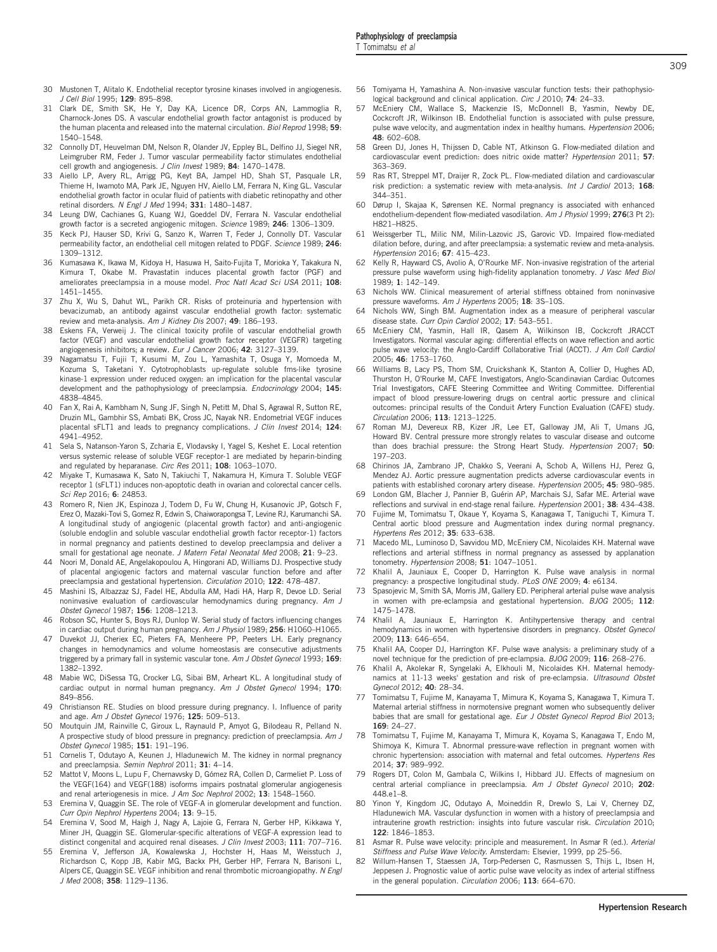- <span id="page-4-0"></span>30 Mustonen T, Alitalo K. Endothelial receptor tyrosine kinases involved in angiogenesis. J Cell Biol 1995: 129: 895-898.
- 31 Clark DE, Smith SK, He Y, Day KA, Licence DR, Corps AN, Lammoglia R, Charnock-Jones DS. A vascular endothelial growth factor antagonist is produced by the human placenta and released into the maternal circulation. Biol Reprod 1998; 59: 1540–1548.
- 32 Connolly DT, Heuvelman DM, Nelson R, Olander JV, Eppley BL, Delfino JJ, Siegel NR, Leimgruber RM, Feder J. Tumor vascular permeability factor stimulates endothelial cell growth and angiogenesis. J Clin Invest 1989; 84: 1470-1478.
- 33 Aiello LP, Avery RL, Arrigg PG, Keyt BA, Jampel HD, Shah ST, Pasquale LR, Thieme H, Iwamoto MA, Park JE, Nguyen HV, Aiello LM, Ferrara N, King GL. Vascular endothelial growth factor in ocular fluid of patients with diabetic retinopathy and other retinal disorders. N Engl J Med 1994; 331: 1480-1487.
- 34 Leung DW, Cachianes G, Kuang WJ, Goeddel DV, Ferrara N. Vascular endothelial growth factor is a secreted angiogenic mitogen. Science 1989; 246: 1306–1309.
- 35 Keck PJ, Hauser SD, Krivi G, Sanzo K, Warren T, Feder J, Connolly DT. Vascular permeability factor, an endothelial cell mitogen related to PDGF. Science 1989; 246: 1309–1312.
- 36 Kumasawa K, Ikawa M, Kidoya H, Hasuwa H, Saito-Fujita T, Morioka Y, Takakura N, Kimura T, Okabe M. Pravastatin induces placental growth factor (PGF) and ameliorates preeclampsia in a mouse model. Proc Natl Acad Sci USA 2011; 108: 1451–1455.
- 37 Zhu X, Wu S, Dahut WL, Parikh CR. Risks of proteinuria and hypertension with bevacizumab, an antibody against vascular endothelial growth factor: systematic review and meta-analysis. Am J Kidney Dis 2007; 49: 186–193.
- 38 Eskens FA, Verweij J. The clinical toxicity profile of vascular endothelial growth factor (VEGF) and vascular endothelial growth factor receptor (VEGFR) targeting angiogenesis inhibitors; a review. Eur J Cancer 2006; 42: 3127–3139.
- 39 Nagamatsu T, Fujii T, Kusumi M, Zou L, Yamashita T, Osuga Y, Momoeda M, Kozuma S, Taketani Y. Cytotrophoblasts up-regulate soluble fms-like tyrosine kinase-1 expression under reduced oxygen: an implication for the placental vascular development and the pathophysiology of preeclampsia. Endocrinology 2004; 145: 4838–4845.
- 40 Fan X, Rai A, Kambham N, Sung JF, Singh N, Petitt M, Dhal S, Agrawal R, Sutton RE, Druzin ML, Gambhir SS, Ambati BK, Cross JC, Nayak NR. Endometrial VEGF induces placental sFLT1 and leads to pregnancy complications. J Clin Invest 2014; 124: 4941–4952.
- 41 Sela S, Natanson-Yaron S, Zcharia E, Vlodavsky I, Yagel S, Keshet E. Local retention versus systemic release of soluble VEGF receptor-1 are mediated by heparin-binding and regulated by heparanase. Circ Res 2011; 108: 1063–1070.
- 42 Miyake T, Kumasawa K, Sato N, Takiuchi T, Nakamura H, Kimura T. Soluble VEGF receptor 1 (sFLT1) induces non-apoptotic death in ovarian and colorectal cancer cells. Sci Rep 2016; 6: 24853.
- 43 Romero R, Nien JK, Espinoza J, Todem D, Fu W, Chung H, Kusanovic JP, Gotsch F, Erez O, Mazaki-Tovi S, Gomez R, Edwin S, Chaiworapongsa T, Levine RJ, Karumanchi SA. A longitudinal study of angiogenic (placental growth factor) and anti-angiogenic (soluble endoglin and soluble vascular endothelial growth factor receptor-1) factors in normal pregnancy and patients destined to develop preeclampsia and deliver a small for gestational age neonate. J Matern Fetal Neonatal Med 2008: 21: 9-23.
- 44 Noori M, Donald AE, Angelakopoulou A, Hingorani AD, Williams DJ. Prospective study of placental angiogenic factors and maternal vascular function before and after preeclampsia and gestational hypertension. Circulation 2010; 122: 478-487.
- 45 Mashini IS, Albazzaz SJ, Fadel HE, Abdulla AM, Hadi HA, Harp R, Devoe LD. Serial noninvasive evaluation of cardiovascular hemodynamics during pregnancy. Am J Obstet Gynecol 1987; 156: 1208–1213.
- 46 Robson SC, Hunter S, Boys RJ, Dunlop W. Serial study of factors influencing changes in cardiac output during human pregnancy. Am J Physiol 1989; 256: H1060-H1065.
- 47 Duvekot JJ, Cheriex EC, Pieters FA, Menheere PP, Peeters LH. Early pregnancy changes in hemodynamics and volume homeostasis are consecutive adjustments triggered by a primary fall in systemic vascular tone. Am J Obstet Gynecol 1993; 169: 1382–1392.
- 48 Mabie WC, DiSessa TG, Crocker LG, Sibai BM, Arheart KL. A longitudinal study of cardiac output in normal human pregnancy. Am J Obstet Gynecol 1994; 170: 849–856.
- 49 Christianson RE. Studies on blood pressure during pregnancy. I. Influence of parity and age. Am J Obstet Gynecol 1976; 125: 509-513.
- 50 Moutquin JM, Rainville C, Giroux L, Raynauld P, Amyot G, Bilodeau R, Pelland N. A prospective study of blood pressure in pregnancy: prediction of preeclampsia. Am J Obstet Gynecol 1985; 151: 191–196.
- 51 Cornelis T, Odutayo A, Keunen J, Hladunewich M. The kidney in normal pregnancy and preeclampsia. Semin Nephrol 2011; 31: 4–14.
- 52 Mattot V, Moons L, Lupu F, Chernavvsky D, Gómez RA, Collen D, Carmeliet P. Loss of the VEGF(164) and VEGF(188) isoforms impairs postnatal glomerular angiogenesis and renal arteriogenesis in mice. J Am Soc Nephrol 2002; 13: 1548–1560.
- 53 Eremina V, Quaggin SE. The role of VEGF-A in glomerular development and function. Curr Opin Nephrol Hypertens 2004; 13: 9–15.
- 54 Eremina V, Sood M, Haigh J, Nagy A, Lajoie G, Ferrara N, Gerber HP, Kikkawa Y, Miner JH, Quaggin SE. Glomerular-specific alterations of VEGF-A expression lead to distinct congenital and acquired renal diseases. J Clin Invest 2003; 111: 707-716.
- 55 Eremina V, Jefferson JA, Kowalewska J, Hochster H, Haas M, Weisstuch J, Richardson C, Kopp JB, Kabir MG, Backx PH, Gerber HP, Ferrara N, Barisoni L, Alpers CE, Quaggin SE. VEGF inhibition and renal thrombotic microangiopathy. N Engl J Med 2008; 358: 1129–1136.
- 56 Tomiyama H, Yamashina A. Non-invasive vascular function tests: their pathophysiological background and clinical application. Circ J 2010; 74: 24-33.
- 57 McEniery CM, Wallace S, Mackenzie IS, McDonnell B, Yasmin, Newby DE, Cockcroft JR, Wilkinson IB. Endothelial function is associated with pulse pressure, pulse wave velocity, and augmentation index in healthy humans. Hypertension 2006; 48: 602–608.
- 58 Green DJ, Jones H, Thijssen D, Cable NT, Atkinson G. Flow-mediated dilation and cardiovascular event prediction: does nitric oxide matter? Hypertension 2011; 57: 363–369.
- 59 Ras RT, Streppel MT, Draijer R, Zock PL. Flow-mediated dilation and cardiovascular risk prediction: a systematic review with meta-analysis. Int J Cardiol 2013; 168: 344–351.
- 60 Dørup I, Skajaa K, Sørensen KE. Normal pregnancy is associated with enhanced endothelium-dependent flow-mediated vasodilation. Am J Physiol 1999; 276(3 Pt 2): H821–H825.
- 61 Weissgerber TL, Milic NM, Milin-Lazovic JS, Garovic VD. Impaired flow-mediated dilation before, during, and after preeclampsia: a systematic review and meta-analysis. Hypertension 2016; 67: 415–423.
- Kelly R, Hayward CS, Avolio A, O'Rourke MF. Non-invasive registration of the arterial pressure pulse waveform using high-fidelity applanation tonometry. J Vasc Med Biol 1989; 1: 142–149.
- 63 Nichols WW. Clinical measurement of arterial stiffness obtained from noninvasive pressure waveforms. Am J Hypertens 2005; 18: 3S-10S.
- 64 Nichols WW, Singh BM. Augmentation index as a measure of peripheral vascular disease state. Curr Opin Cardiol 2002: 17: 543-551.
- 65 McEniery CM, Yasmin, Hall IR, Qasem A, Wilkinson IB, Cockcroft JRACCT Investigators. Normal vascular aging: differential effects on wave reflection and aortic pulse wave velocity: the Anglo-Cardiff Collaborative Trial (ACCT). J Am Coll Cardiol 2005; 46: 1753–1760.
- 66 Williams B, Lacy PS, Thom SM, Cruickshank K, Stanton A, Collier D, Hughes AD, Thurston H, O'Rourke M, CAFE Investigators, Anglo-Scandinavian Cardiac Outcomes Trial Investigators, CAFE Steering Committee and Writing Committee. Differential impact of blood pressure-lowering drugs on central aortic pressure and clinical outcomes: principal results of the Conduit Artery Function Evaluation (CAFE) study. Circulation 2006; 113: 1213–1225.
- 67 Roman MJ, Devereux RB, Kizer JR, Lee ET, Galloway JM, Ali T, Umans JG, Howard BV. Central pressure more strongly relates to vascular disease and outcome than does brachial pressure: the Strong Heart Study. Hypertension 2007; 50: 197–203.
- 68 Chirinos JA, Zambrano JP, Chakko S, Veerani A, Schob A, Willens HJ, Perez G, Mendez AJ. Aortic pressure augmentation predicts adverse cardiovascular events in patients with established coronary artery disease. Hypertension 2005; 45: 980-985.
- 69 London GM, Blacher J, Pannier B, Guérin AP, Marchais SJ, Safar ME. Arterial wave reflections and survival in end-stage renal failure. Hypertension 2001; 38: 434-438.
- 70 Fujime M, Tomimatsu T, Okaue Y, Koyama S, Kanagawa T, Taniguchi T, Kimura T. Central aortic blood pressure and Augmentation index during normal pregnancy. Hypertens Res 2012; 35: 633–638.
- 71 Macedo ML, Luminoso D, Savvidou MD, McEniery CM, Nicolaides KH. Maternal wave reflections and arterial stiffness in normal pregnancy as assessed by applanation tonometry. Hypertension 2008; 51: 1047–1051.
- 72 Khalil A, Jauniaux E, Cooper D, Harrington K. Pulse wave analysis in normal pregnancy: a prospective longitudinal study. PLoS ONE 2009; 4: e6134.
- 73 Spasojevic M, Smith SA, Morris JM, Gallery ED. Peripheral arterial pulse wave analysis in women with pre-eclampsia and gestational hypertension. BJOG 2005: 112: 1475–1478.
- 74 Khalil A, Jauniaux E, Harrington K. Antihypertensive therapy and central hemodynamics in women with hypertensive disorders in pregnancy. Obstet Gynecol 2009; 113: 646–654.
- 75 Khalil AA, Cooper DJ, Harrington KF. Pulse wave analysis: a preliminary study of a novel technique for the prediction of pre-eclampsia. BJOG 2009; 116: 268–276.
- 76 Khalil A, Akolekar R, Syngelaki A, Elkhouli M, Nicolaides KH. Maternal hemodynamics at 11-13 weeks' gestation and risk of pre-eclampsia. Ultrasound Obstet Gynecol 2012; 40: 28–34.
- 77 Tomimatsu T, Fujime M, Kanayama T, Mimura K, Koyama S, Kanagawa T, Kimura T. Maternal arterial stiffness in normotensive pregnant women who subsequently deliver babies that are small for gestational age. Eur J Obstet Gynecol Reprod Biol 2013; 169: 24–27.
- 78 Tomimatsu T, Fujime M, Kanayama T, Mimura K, Koyama S, Kanagawa T, Endo M, Shimoya K, Kimura T. Abnormal pressure-wave reflection in pregnant women with chronic hypertension: association with maternal and fetal outcomes. Hypertens Res 2014; 37: 989–992.
- 79 Rogers DT, Colon M, Gambala C, Wilkins I, Hibbard JU. Effects of magnesium on central arterial compliance in preeclampsia. Am J Obstet Gynecol 2010; 202: 448.e1–8.
- 80 Yinon Y, Kingdom JC, Odutayo A, Moineddin R, Drewlo S, Lai V, Cherney DZ, Hladunewich MA. Vascular dysfunction in women with a history of preeclampsia and intrauterine growth restriction: insights into future vascular risk. *Circulation* 2010; 122: 1846–1853.
- 81 Asmar R. Pulse wave velocity: principle and measurement. In Asmar R (ed.). Arterial Stiffness and Pulse Wave Velocity. Amsterdam: Elsevier, 1999, pp 25–56.
- 82 Willum-Hansen T, Staessen JA, Torp-Pedersen C, Rasmussen S, Thijs L, Ibsen H, Jeppesen J. Prognostic value of aortic pulse wave velocity as index of arterial stiffness in the general population. Circulation 2006; 113: 664–670.